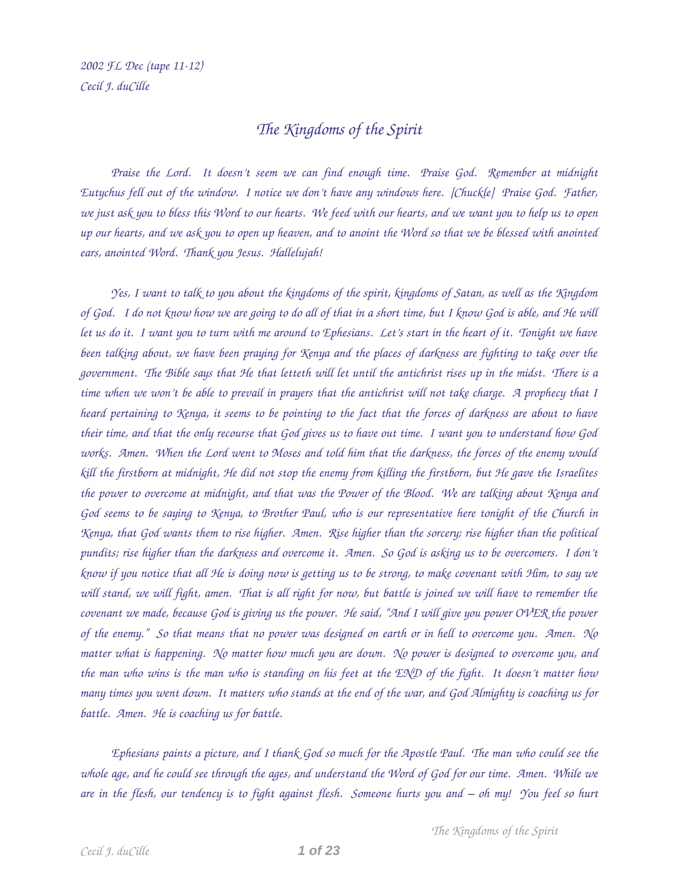## *The Kingdoms of the Spirit*

*Praise the Lord. It doesn't seem we can find enough time. Praise God. Remember at midnight Eutychus fell out of the window. I notice we don't have any windows here. [Chuckle] Praise God. Father, we just ask you to bless this Word to our hearts. We feed with our hearts, and we want you to help us to open up our hearts, and we ask you to open up heaven, and to anoint the Word so that we be blessed with anointed ears, anointed Word. Thank you Jesus. Hallelujah!* 

*Yes, I want to talk to you about the kingdoms of the spirit, kingdoms of Satan, as well as the Kingdom of God. I do not know how we are going to do all of that in a short time, but I know God is able, and He will let us do it. I want you to turn with me around to Ephesians. Let's start in the heart of it. Tonight we have been talking about, we have been praying for Kenya and the places of darkness are fighting to take over the government. The Bible says that He that letteth will let until the antichrist rises up in the midst. There is a time when we won't be able to prevail in prayers that the antichrist will not take charge. A prophecy that I heard pertaining to Kenya, it seems to be pointing to the fact that the forces of darkness are about to have their time, and that the only recourse that God gives us to have out time. I want you to understand how God works. Amen. When the Lord went to Moses and told him that the darkness, the forces of the enemy would kill the firstborn at midnight, He did not stop the enemy from killing the firstborn, but He gave the Israelites the power to overcome at midnight, and that was the Power of the Blood. We are talking about Kenya and God seems to be saying to Kenya, to Brother Paul, who is our representative here tonight of the Church in Kenya, that God wants them to rise higher. Amen. Rise higher than the sorcery; rise higher than the political pundits; rise higher than the darkness and overcome it. Amen. So God is asking us to be overcomers. I don't know if you notice that all He is doing now is getting us to be strong, to make covenant with Him, to say we will stand, we will fight, amen. That is all right for now, but battle is joined we will have to remember the covenant we made, because God is giving us the power. He said, "And I will give you power OVER the power of the enemy." So that means that no power was designed on earth or in hell to overcome you. Amen. No matter what is happening. No matter how much you are down. No power is designed to overcome you, and the man who wins is the man who is standing on his feet at the END of the fight. It doesn't matter how many times you went down. It matters who stands at the end of the war, and God Almighty is coaching us for battle. Amen. He is coaching us for battle.* 

*Ephesians paints a picture, and I thank God so much for the Apostle Paul. The man who could see the whole age, and he could see through the ages, and understand the Word of God for our time. Amen. While we are in the flesh, our tendency is to fight against flesh. Someone hurts you and – oh my! You feel so hurt*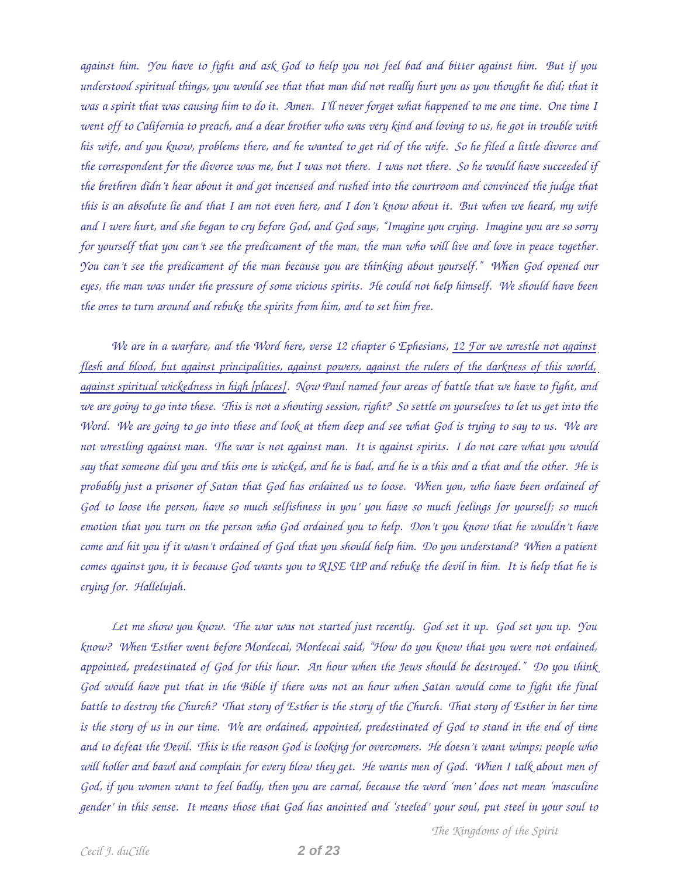*against him. You have to fight and ask God to help you not feel bad and bitter against him. But if you understood spiritual things, you would see that that man did not really hurt you as you thought he did; that it was a spirit that was causing him to do it. Amen. I'll never forget what happened to me one time. One time I went off to California to preach, and a dear brother who was very kind and loving to us, he got in trouble with his wife, and you know, problems there, and he wanted to get rid of the wife. So he filed a little divorce and the correspondent for the divorce was me, but I was not there. I was not there. So he would have succeeded if the brethren didn't hear about it and got incensed and rushed into the courtroom and convinced the judge that this is an absolute lie and that I am not even here, and I don't know about it. But when we heard, my wife and I were hurt, and she began to cry before God, and God says, "Imagine you crying. Imagine you are so sorry for yourself that you can't see the predicament of the man, the man who will live and love in peace together. You can't see the predicament of the man because you are thinking about yourself." When God opened our eyes, the man was under the pressure of some vicious spirits. He could not help himself. We should have been the ones to turn around and rebuke the spirits from him, and to set him free.* 

*We are in a warfare, and the Word here, verse 12 chapter 6 Ephesians, 12 For we wrestle not against flesh and blood, but against principalities, against powers, against the rulers of the darkness of this world, against spiritual wickedness in high [places]. Now Paul named four areas of battle that we have to fight, and we are going to go into these. This is not a shouting session, right? So settle on yourselves to let us get into the Word. We are going to go into these and look at them deep and see what God is trying to say to us. We are not wrestling against man. The war is not against man. It is against spirits. I do not care what you would say that someone did you and this one is wicked, and he is bad, and he is a this and a that and the other. He is probably just a prisoner of Satan that God has ordained us to loose. When you, who have been ordained of God to loose the person, have so much selfishness in you' you have so much feelings for yourself; so much emotion that you turn on the person who God ordained you to help. Don't you know that he wouldn't have come and hit you if it wasn't ordained of God that you should help him. Do you understand? When a patient comes against you, it is because God wants you to RISE UP and rebuke the devil in him. It is help that he is crying for. Hallelujah.* 

*Let me show you know. The war was not started just recently. God set it up. God set you up. You know? When Esther went before Mordecai, Mordecai said, "How do you know that you were not ordained, appointed, predestinated of God for this hour. An hour when the Jews should be destroyed." Do you think God would have put that in the Bible if there was not an hour when Satan would come to fight the final battle to destroy the Church? That story of Esther is the story of the Church. That story of Esther in her time is the story of us in our time. We are ordained, appointed, predestinated of God to stand in the end of time and to defeat the Devil. This is the reason God is looking for overcomers. He doesn't want wimps; people who will holler and bawl and complain for every blow they get. He wants men of God. When I talk about men of God, if you women want to feel badly, then you are carnal, because the word 'men' does not mean 'masculine gender' in this sense. It means those that God has anointed and 'steeled' your soul, put steel in your soul to*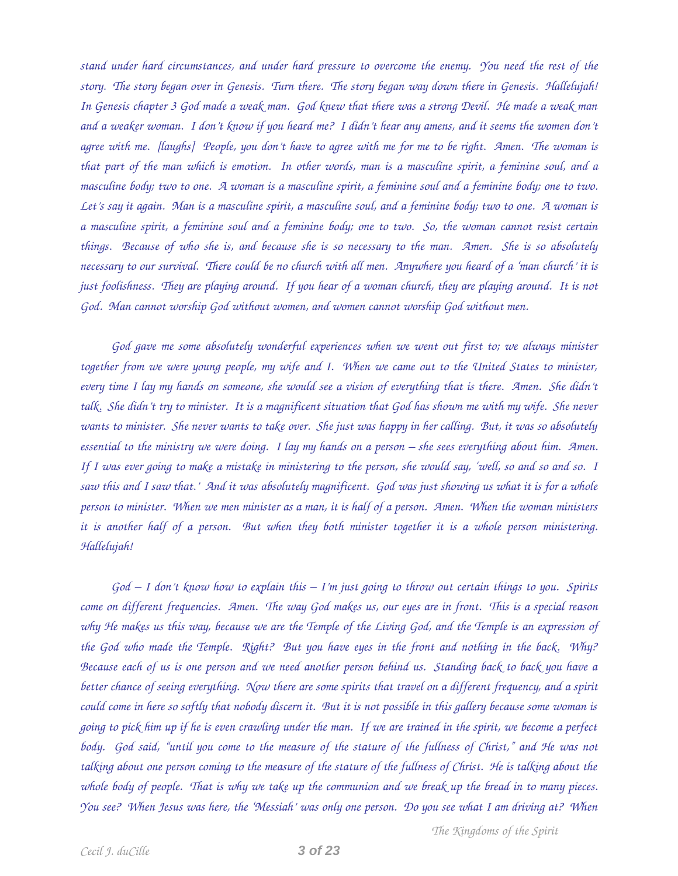*stand under hard circumstances, and under hard pressure to overcome the enemy. You need the rest of the story. The story began over in Genesis. Turn there. The story began way down there in Genesis. Hallelujah! In Genesis chapter 3 God made a weak man. God knew that there was a strong Devil. He made a weak man and a weaker woman. I don't know if you heard me? I didn't hear any amens, and it seems the women don't agree with me. [laughs] People, you don't have to agree with me for me to be right. Amen. The woman is that part of the man which is emotion. In other words, man is a masculine spirit, a feminine soul, and a masculine body; two to one. A woman is a masculine spirit, a feminine soul and a feminine body; one to two. Let's say it again. Man is a masculine spirit, a masculine soul, and a feminine body; two to one. A woman is a masculine spirit, a feminine soul and a feminine body; one to two. So, the woman cannot resist certain things. Because of who she is, and because she is so necessary to the man. Amen. She is so absolutely necessary to our survival. There could be no church with all men. Anywhere you heard of a 'man church' it is just foolishness. They are playing around. If you hear of a woman church, they are playing around. It is not God. Man cannot worship God without women, and women cannot worship God without men.* 

*God gave me some absolutely wonderful experiences when we went out first to; we always minister together from we were young people, my wife and I. When we came out to the United States to minister, every time I lay my hands on someone, she would see a vision of everything that is there. Amen. She didn't talk. She didn't try to minister. It is a magnificent situation that God has shown me with my wife. She never wants to minister. She never wants to take over. She just was happy in her calling. But, it was so absolutely essential to the ministry we were doing. I lay my hands on a person – she sees everything about him. Amen. If I was ever going to make a mistake in ministering to the person, she would say, 'well, so and so and so. I saw this and I saw that.' And it was absolutely magnificent. God was just showing us what it is for a whole person to minister. When we men minister as a man, it is half of a person. Amen. When the woman ministers it is another half of a person. But when they both minister together it is a whole person ministering. Hallelujah!* 

*God – I don't know how to explain this – I'm just going to throw out certain things to you. Spirits come on different frequencies. Amen. The way God makes us, our eyes are in front. This is a special reason why He makes us this way, because we are the Temple of the Living God, and the Temple is an expression of the God who made the Temple. Right? But you have eyes in the front and nothing in the back. Why? Because each of us is one person and we need another person behind us. Standing back to back you have a better chance of seeing everything. Now there are some spirits that travel on a different frequency, and a spirit could come in here so softly that nobody discern it. But it is not possible in this gallery because some woman is going to pick him up if he is even crawling under the man. If we are trained in the spirit, we become a perfect body. God said, "until you come to the measure of the stature of the fullness of Christ," and He was not talking about one person coming to the measure of the stature of the fullness of Christ. He is talking about the whole body of people. That is why we take up the communion and we break up the bread in to many pieces. You see? When Jesus was here, the 'Messiah' was only one person. Do you see what I am driving at? When*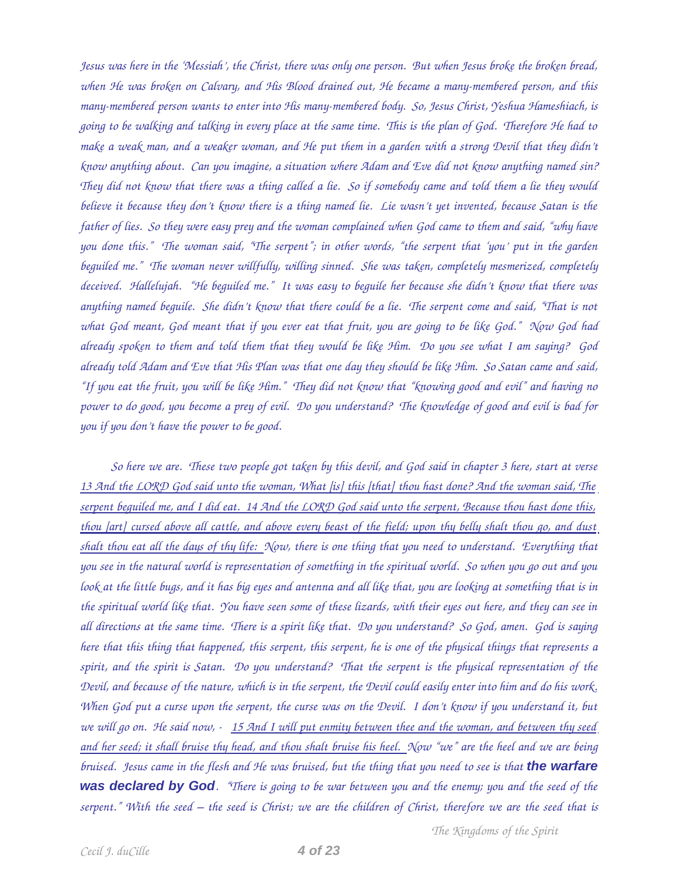*Jesus was here in the 'Messiah', the Christ, there was only one person. But when Jesus broke the broken bread, when He was broken on Calvary, and His Blood drained out, He became a manymembered person, and this manymembered person wants to enter into His manymembered body. So, Jesus Christ, Yeshua Hameshiach, is going to be walking and talking in every place at the same time. This is the plan of God. Therefore He had to make a weak man, and a weaker woman, and He put them in a garden with a strong Devil that they didn't know anything about. Can you imagine, a situation where Adam and Eve did not know anything named sin? They did not know that there was a thing called a lie. So if somebody came and told them a lie they would believe it because they don't know there is a thing named lie. Lie wasn't yet invented, because Satan is the father of lies. So they were easy prey and the woman complained when God came to them and said, "why have you done this." The woman said, "The serpent"; in other words, "the serpent that 'you' put in the garden beguiled me." The woman never willfully, willing sinned. She was taken, completely mesmerized, completely deceived. Hallelujah. "He beguiled me." It was easy to beguile her because she didn't know that there was anything named beguile. She didn't know that there could be a lie. The serpent come and said, "That is not what God meant, God meant that if you ever eat that fruit, you are going to be like God." Now God had already spoken to them and told them that they would be like Him. Do you see what I am saying? God already told Adam and Eve that His Plan was that one day they should be like Him. So Satan came and said, "If you eat the fruit, you will be like Him." They did not know that "knowing good and evil" and having no power to do good, you become a prey of evil. Do you understand? The knowledge of good and evil is bad for you if you don't have the power to be good.* 

*So here we are. These two people got taken by this devil, and God said in chapter 3 here, start at verse 13 And the LORD God said unto the woman, What [is] this [that] thou hast done? And the woman said, The serpent beguiled me, and I did eat. 14 And the LORD God said unto the serpent, Because thou hast done this, thou [art] cursed above all cattle, and above every beast of the field; upon thy belly shalt thou go, and dust shalt thou eat all the days of thy life: Now, there is one thing that you need to understand. Everything that you see in the natural world is representation of something in the spiritual world. So when you go out and you look at the little bugs, and it has big eyes and antenna and all like that, you are looking at something that is in the spiritual world like that. You have seen some of these lizards, with their eyes out here, and they can see in all directions at the same time. There is a spirit like that. Do you understand? So God, amen. God is saying here that this thing that happened, this serpent, this serpent, he is one of the physical things that represents a spirit, and the spirit is Satan. Do you understand? That the serpent is the physical representation of the Devil, and because of the nature, which is in the serpent, the Devil could easily enter into him and do his work. When God put a curse upon the serpent, the curse was on the Devil. I don't know if you understand it, but we will go on. He said now, 15 And I will put enmity between thee and the woman, and between thy seed and her seed; it shall bruise thy head, and thou shalt bruise his heel. Now "we" are the heel and we are being bruised. Jesus came in the flesh and He was bruised, but the thing that you need to see is that the warfare was declared by God. "There is going to be war between you and the enemy; you and the seed of the serpent." With the seed – the seed is Christ; we are the children of Christ, therefore we are the seed that is*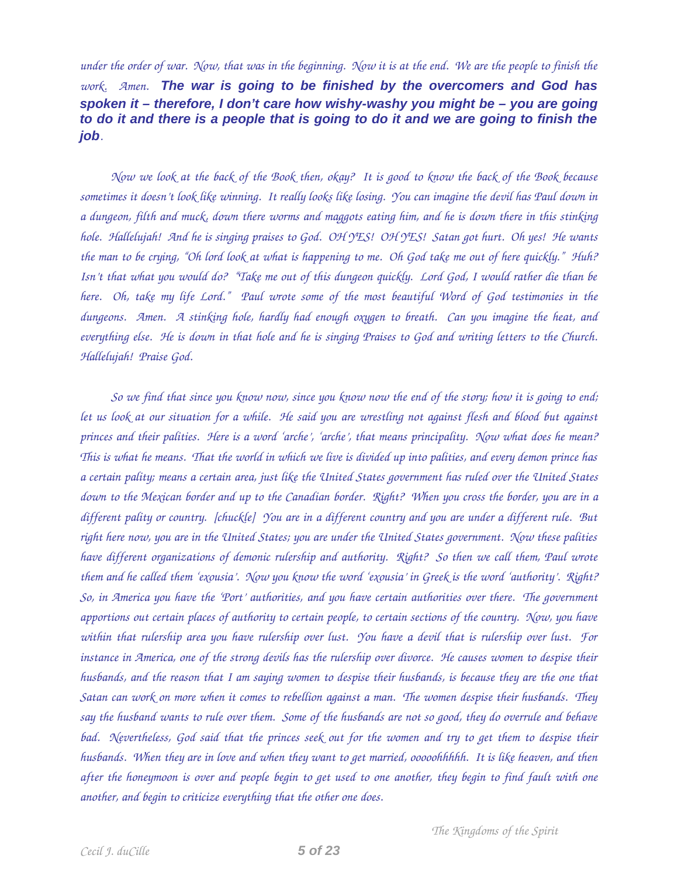*under the order of war. Now, that was in the beginning. Now it is at the end. We are the people to finish the work. Amen. The war is going to be finished by the overcomers and God has spoken it – therefore, I don't care how wishy-washy you might be – you are going to do it and there is a people that is going to do it and we are going to finish the job.* 

*Now we look at the back of the Book then, okay? It is good to know the back of the Book because sometimes it doesn't look like winning. It really looks like losing. You can imagine the devil has Paul down in a dungeon, filth and muck, down there worms and maggots eating him, and he is down there in this stinking hole. Hallelujah! And he is singing praises to God. OH YES! OH YES! Satan got hurt. Oh yes! He wants the man to be crying, "Oh lord look at what is happening to me. Oh God take me out of here quickly." Huh? Isn't that what you would do? "Take me out of this dungeon quickly. Lord God, I would rather die than be here. Oh, take my life Lord." Paul wrote some of the most beautiful Word of God testimonies in the dungeons. Amen. A stinking hole, hardly had enough oxygen to breath. Can you imagine the heat, and everything else. He is down in that hole and he is singing Praises to God and writing letters to the Church. Hallelujah! Praise God.* 

*So we find that since you know now, since you know now the end of the story; how it is going to end; let us look at our situation for a while. He said you are wrestling not against flesh and blood but against princes and their palities. Here is a word 'arche', 'arche', that means principality. Now what does he mean? This is what he means. That the world in which we live is divided up into palities, and every demon prince has a certain pality; means a certain area, just like the United States government has ruled over the United States down to the Mexican border and up to the Canadian border. Right? When you cross the border, you are in a different pality or country. [chuckle] You are in a different country and you are under a different rule. But right here now, you are in the United States; you are under the United States government. Now these palities have different organizations of demonic rulership and authority. Right? So then we call them, Paul wrote them and he called them 'exousia'. Now you know the word 'exousia' in Greek is the word 'authority'. Right? So, in America you have the 'Port' authorities, and you have certain authorities over there. The government apportions out certain places of authority to certain people, to certain sections of the country. Now, you have within that rulership area you have rulership over lust. You have a devil that is rulership over lust. For instance in America, one of the strong devils has the rulership over divorce. He causes women to despise their husbands, and the reason that I am saying women to despise their husbands, is because they are the one that Satan can work on more when it comes to rebellion against a man. The women despise their husbands. They say the husband wants to rule over them. Some of the husbands are not so good, they do overrule and behave bad. Nevertheless, God said that the princes seek out for the women and try to get them to despise their husbands. When they are in love and when they want to get married, ooooohhhhh. It is like heaven, and then after the honeymoon is over and people begin to get used to one another, they begin to find fault with one another, and begin to criticize everything that the other one does.*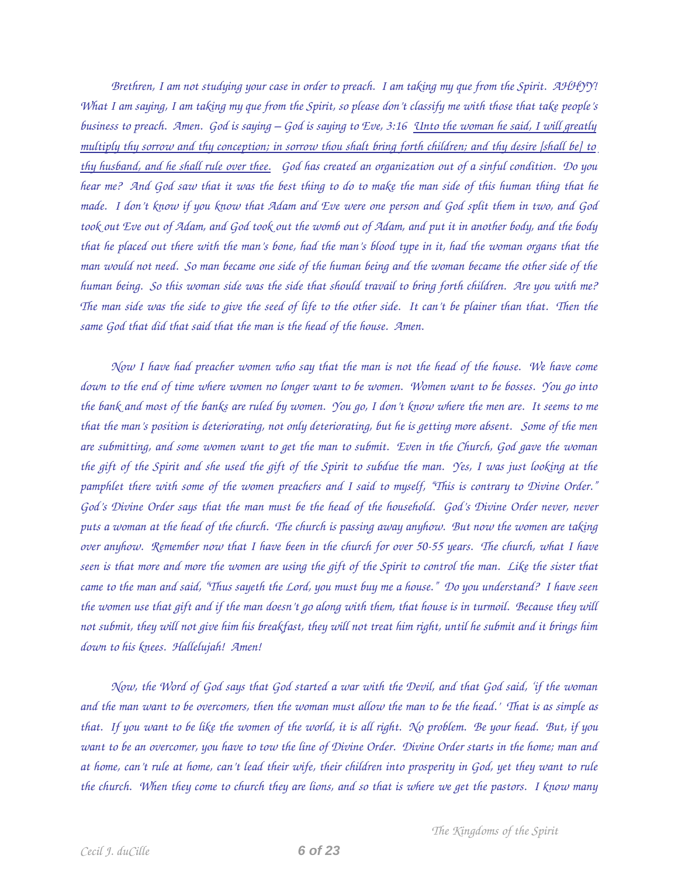*Brethren, I am not studying your case in order to preach. I am taking my que from the Spirit. AHHYY! What I am saying, I am taking my que from the Spirit, so please don't classify me with those that take people's business to preach. Amen. God is saying – God is saying to Eve, 3:16 Unto the woman he said, I will greatly multiply thy sorrow and thy conception; in sorrow thou shalt bring forth children; and thy desire [shall be] to thy husband, and he shall rule over thee. God has created an organization out of a sinful condition. Do you hear me? And God saw that it was the best thing to do to make the man side of this human thing that he made. I don't know if you know that Adam and Eve were one person and God split them in two, and God took out Eve out of Adam, and God took out the womb out of Adam, and put it in another body, and the body that he placed out there with the man's bone, had the man's blood type in it, had the woman organs that the man would not need. So man became one side of the human being and the woman became the other side of the human being. So this woman side was the side that should travail to bring forth children. Are you with me? The man side was the side to give the seed of life to the other side. It can't be plainer than that. Then the same God that did that said that the man is the head of the house. Amen.* 

*Now I have had preacher women who say that the man is not the head of the house. We have come down to the end of time where women no longer want to be women. Women want to be bosses. You go into the bank and most of the banks are ruled by women. You go, I don't know where the men are. It seems to me that the man's position is deteriorating, not only deteriorating, but he is getting more absent. Some of the men are submitting, and some women want to get the man to submit. Even in the Church, God gave the woman the gift of the Spirit and she used the gift of the Spirit to subdue the man. Yes, I was just looking at the pamphlet there with some of the women preachers and I said to myself, "This is contrary to Divine Order." God's Divine Order says that the man must be the head of the household. God's Divine Order never, never puts a woman at the head of the church. The church is passing away anyhow. But now the women are taking over anyhow. Remember now that I have been in the church for over 50-55 years. The church, what I have seen is that more and more the women are using the gift of the Spirit to control the man. Like the sister that came to the man and said, "Thus sayeth the Lord, you must buy me a house." Do you understand? I have seen the women use that gift and if the man doesn't go along with them, that house is in turmoil. Because they will not submit, they will not give him his breakfast, they will not treat him right, until he submit and it brings him down to his knees. Hallelujah! Amen!* 

*Now, the Word of God says that God started a war with the Devil, and that God said, 'if the woman and the man want to be overcomers, then the woman must allow the man to be the head.' That is as simple as that. If you want to be like the women of the world, it is all right. No problem. Be your head. But, if you want to be an overcomer, you have to tow the line of Divine Order. Divine Order starts in the home; man and at home, can't rule at home, can't lead their wife, their children into prosperity in God, yet they want to rule the church. When they come to church they are lions, and so that is where we get the pastors. I know many*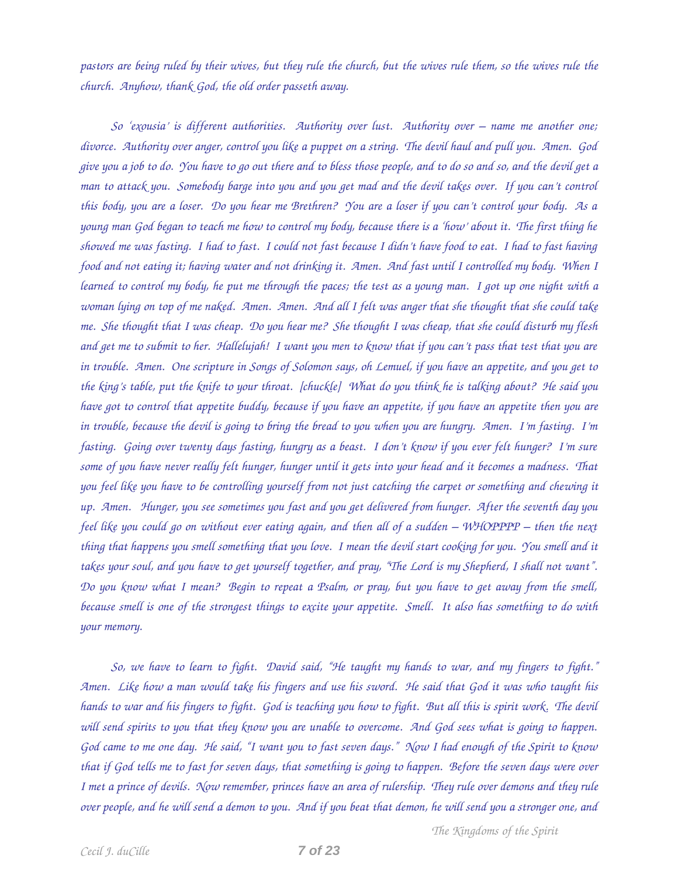*pastors are being ruled by their wives, but they rule the church, but the wives rule them, so the wives rule the church. Anyhow, thank God, the old order passeth away.* 

*So 'exousia' is different authorities. Authority over lust. Authority over – name me another one; divorce. Authority over anger, control you like a puppet on a string. The devil haul and pull you. Amen. God give you a job to do. You have to go out there and to bless those people, and to do so and so, and the devil get a man to attack you. Somebody barge into you and you get mad and the devil takes over. If you can't control this body, you are a loser. Do you hear me Brethren? You are a loser if you can't control your body. As a young man God began to teach me how to control my body, because there is a 'how' about it. The first thing he showed me was fasting. I had to fast. I could not fast because I didn't have food to eat. I had to fast having food and not eating it; having water and not drinking it. Amen. And fast until I controlled my body. When I learned to control my body, he put me through the paces; the test as a young man. I got up one night with a woman lying on top of me naked. Amen. Amen. And all I felt was anger that she thought that she could take me. She thought that I was cheap. Do you hear me? She thought I was cheap, that she could disturb my flesh and get me to submit to her. Hallelujah! I want you men to know that if you can't pass that test that you are in trouble. Amen. One scripture in Songs of Solomon says, oh Lemuel, if you have an appetite, and you get to the king's table, put the knife to your throat. [chuckle] What do you think he is talking about? He said you have got to control that appetite buddy, because if you have an appetite, if you have an appetite then you are in trouble, because the devil is going to bring the bread to you when you are hungry. Amen. I'm fasting. I'm fasting. Going over twenty days fasting, hungry as a beast. I don't know if you ever felt hunger? I'm sure some of you have never really felt hunger, hunger until it gets into your head and it becomes a madness. That you feel like you have to be controlling yourself from not just catching the carpet or something and chewing it up. Amen. Hunger, you see sometimes you fast and you get delivered from hunger. After the seventh day you feel like you could go on without ever eating again, and then all of a sudden – WHOPPPP – then the next thing that happens you smell something that you love. I mean the devil start cooking for you. You smell and it takes your soul, and you have to get yourself together, and pray, "The Lord is my Shepherd, I shall not want". Do you know what I mean? Begin to repeat a Psalm, or pray, but you have to get away from the smell, because smell is one of the strongest things to excite your appetite. Smell. It also has something to do with your memory.* 

*So, we have to learn to fight. David said, "He taught my hands to war, and my fingers to fight." Amen. Like how a man would take his fingers and use his sword. He said that God it was who taught his hands to war and his fingers to fight. God is teaching you how to fight. But all this is spirit work. The devil will send spirits to you that they know you are unable to overcome. And God sees what is going to happen. God came to me one day. He said, "I want you to fast seven days." Now I had enough of the Spirit to know that if God tells me to fast for seven days, that something is going to happen. Before the seven days were over I met a prince of devils. Now remember, princes have an area of rulership. They rule over demons and they rule over people, and he will send a demon to you. And if you beat that demon, he will send you a stronger one, and*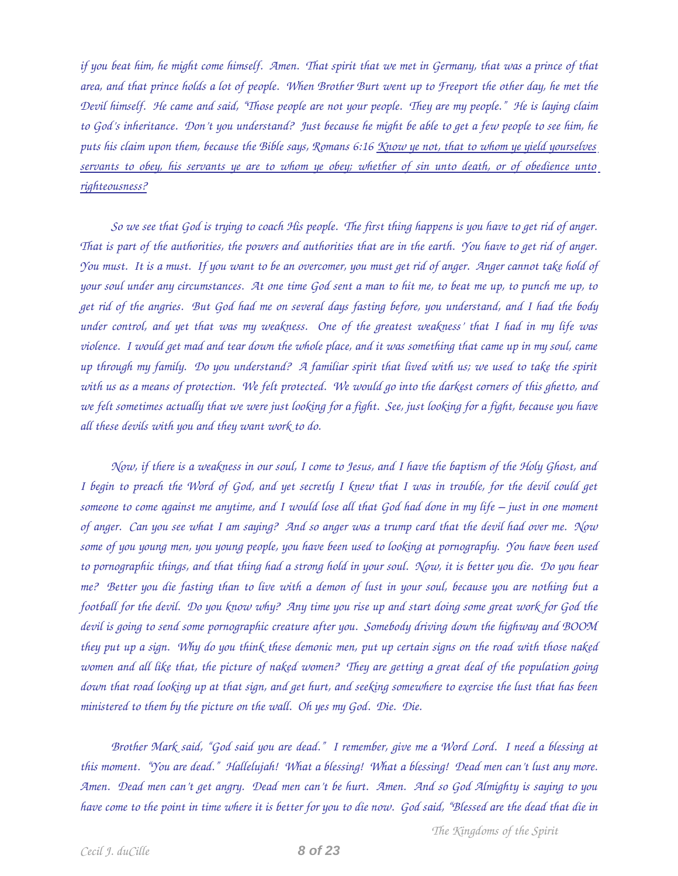*if you beat him, he might come himself. Amen. That spirit that we met in Germany, that was a prince of that area, and that prince holds a lot of people. When Brother Burt went up to Freeport the other day, he met the Devil himself. He came and said, "Those people are not your people. They are my people." He is laying claim to God's inheritance. Don't you understand? Just because he might be able to get a few people to see him, he puts his claim upon them, because the Bible says, Romans 6:16 Know ye not, that to whom ye yield yourselves servants to obey, his servants ye are to whom ye obey; whether of sin unto death, or of obedience unto righteousness?* 

*So we see that God is trying to coach His people. The first thing happens is you have to get rid of anger. That is part of the authorities, the powers and authorities that are in the earth. You have to get rid of anger. You must. It is a must. If you want to be an overcomer, you must get rid of anger. Anger cannot take hold of your soul under any circumstances. At one time God sent a man to hit me, to beat me up, to punch me up, to get rid of the angries. But God had me on several days fasting before, you understand, and I had the body under control, and yet that was my weakness. One of the greatest weakness' that I had in my life was violence. I would get mad and tear down the whole place, and it was something that came up in my soul, came up through my family. Do you understand? A familiar spirit that lived with us; we used to take the spirit with us as a means of protection. We felt protected. We would go into the darkest corners of this ghetto, and we felt sometimes actually that we were just looking for a fight. See, just looking for a fight, because you have all these devils with you and they want work to do.* 

*Now, if there is a weakness in our soul, I come to Jesus, and I have the baptism of the Holy Ghost, and I begin to preach the Word of God, and yet secretly I knew that I was in trouble, for the devil could get someone to come against me anytime, and I would lose all that God had done in my life – just in one moment of anger. Can you see what I am saying? And so anger was a trump card that the devil had over me. Now some of you young men, you young people, you have been used to looking at pornography. You have been used to pornographic things, and that thing had a strong hold in your soul. Now, it is better you die. Do you hear me? Better you die fasting than to live with a demon of lust in your soul, because you are nothing but a football for the devil. Do you know why? Any time you rise up and start doing some great work for God the devil is going to send some pornographic creature after you. Somebody driving down the highway and BOOM they put up a sign. Why do you think these demonic men, put up certain signs on the road with those naked women and all like that, the picture of naked women? They are getting a great deal of the population going down that road looking up at that sign, and get hurt, and seeking somewhere to exercise the lust that has been ministered to them by the picture on the wall. Oh yes my God. Die. Die.* 

*Brother Mark said, "God said you are dead." I remember, give me a Word Lord. I need a blessing at this moment. "You are dead." Hallelujah! What a blessing! What a blessing! Dead men can't lust any more. Amen. Dead men can't get angry. Dead men can't be hurt. Amen. And so God Almighty is saying to you have come to the point in time where it is better for you to die now. God said, "Blessed are the dead that die in*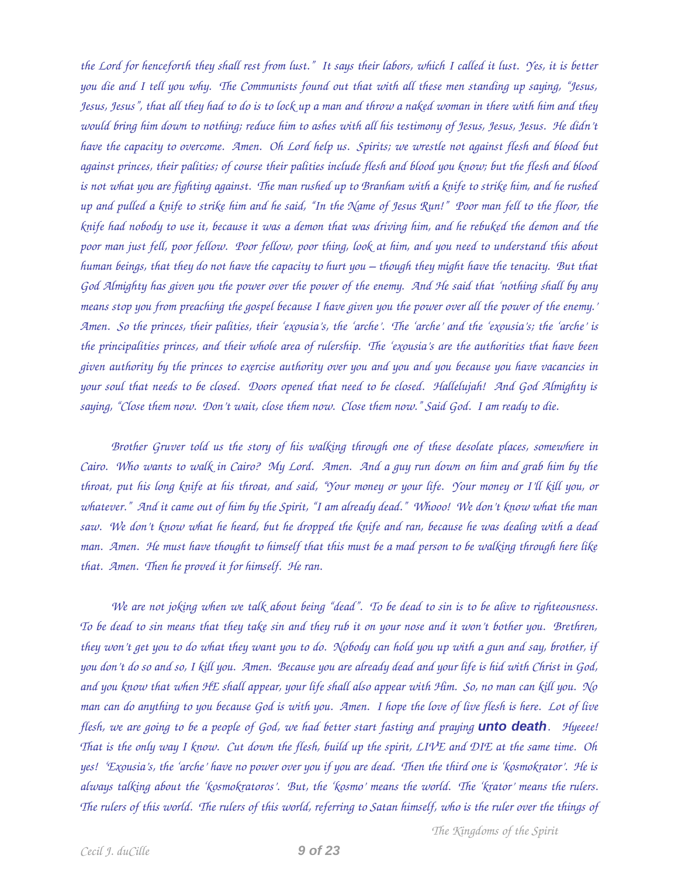*the Lord for henceforth they shall rest from lust." It says their labors, which I called it lust. Yes, it is better you die and I tell you why. The Communists found out that with all these men standing up saying, "Jesus, Jesus, Jesus", that all they had to do is to lock up a man and throw a naked woman in there with him and they would bring him down to nothing; reduce him to ashes with all his testimony of Jesus, Jesus, Jesus. He didn't have the capacity to overcome. Amen. Oh Lord help us. Spirits; we wrestle not against flesh and blood but against princes, their palities; of course their palities include flesh and blood you know; but the flesh and blood is not what you are fighting against. The man rushed up to Branham with a knife to strike him, and he rushed up and pulled a knife to strike him and he said, "In the Name of Jesus Run!" Poor man fell to the floor, the knife had nobody to use it, because it was a demon that was driving him, and he rebuked the demon and the poor man just fell, poor fellow. Poor fellow, poor thing, look at him, and you need to understand this about human beings, that they do not have the capacity to hurt you – though they might have the tenacity. But that God Almighty has given you the power over the power of the enemy. And He said that 'nothing shall by any means stop you from preaching the gospel because I have given you the power over all the power of the enemy.' Amen. So the princes, their palities, their 'exousia's, the 'arche'. The 'arche' and the 'exousia's; the 'arche' is the principalities princes, and their whole area of rulership. The 'exousia's are the authorities that have been given authority by the princes to exercise authority over you and you and you because you have vacancies in your soul that needs to be closed. Doors opened that need to be closed. Hallelujah! And God Almighty is saying, "Close them now. Don't wait, close them now. Close them now." Said God. I am ready to die.* 

*Brother Gruver told us the story of his walking through one of these desolate places, somewhere in Cairo. Who wants to walk in Cairo? My Lord. Amen. And a guy run down on him and grab him by the throat, put his long knife at his throat, and said, "Your money or your life. Your money or I'll kill you, or whatever." And it came out of him by the Spirit, "I am already dead." Whooo! We don't know what the man saw. We don't know what he heard, but he dropped the knife and ran, because he was dealing with a dead man. Amen. He must have thought to himself that this must be a mad person to be walking through here like that. Amen. Then he proved it for himself. He ran.* 

*We are not joking when we talk about being "dead". To be dead to sin is to be alive to righteousness. To be dead to sin means that they take sin and they rub it on your nose and it won't bother you. Brethren, they won't get you to do what they want you to do. Nobody can hold you up with a gun and say, brother, if you don't do so and so, I kill you. Amen. Because you are already dead and your life is hid with Christ in God, and you know that when HE shall appear, your life shall also appear with Him. So, no man can kill you. No man can do anything to you because God is with you. Amen. I hope the love of live flesh is here. Lot of live flesh, we are going to be a people of God, we had better start fasting and praying unto death. Hyeeee! That is the only way I know. Cut down the flesh, build up the spirit, LIVE and DIE at the same time. Oh yes! 'Exousia's, the 'arche' have no power over you if you are dead. Then the third one is 'kosmokrator'. He is always talking about the 'kosmokratoros'. But, the 'kosmo' means the world. The 'krator' means the rulers. The rulers of this world. The rulers of this world, referring to Satan himself, who is the ruler over the things of*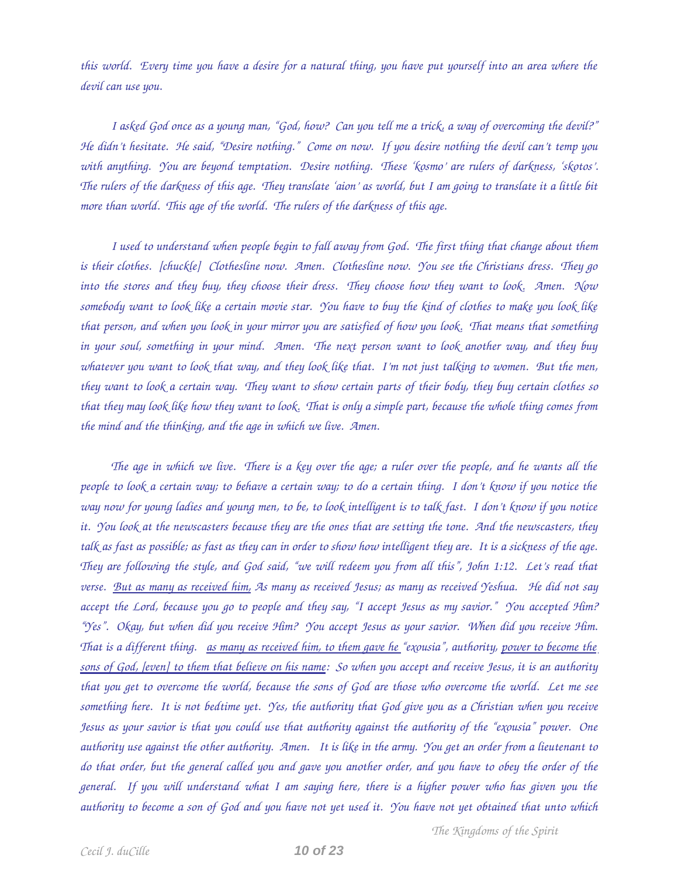*this world. Every time you have a desire for a natural thing, you have put yourself into an area where the devil can use you.* 

*I asked God once as a young man, "God, how? Can you tell me a trick, a way of overcoming the devil?" He didn't hesitate. He said, "Desire nothing." Come on now. If you desire nothing the devil can't temp you with anything. You are beyond temptation. Desire nothing. These 'kosmo' are rulers of darkness, 'skotos'. The rulers of the darkness of this age. They translate 'aion' as world, but I am going to translate it a little bit* more than world. This age of the world. The rulers of the darkness of this age.

*I used to understand when people begin to fall away from God. The first thing that change about them is their clothes. [chuckle] Clothesline now. Amen. Clothesline now. You see the Christians dress. They go into the stores and they buy, they choose their dress. They choose how they want to look. Amen. Now somebody want to look like a certain movie star. You have to buy the kind of clothes to make you look like that person, and when you look in your mirror you are satisfied of how you look. That means that something in your soul, something in your mind. Amen. The next person want to look another way, and they buy whatever you want to look that way, and they look like that. I'm not just talking to women. But the men, they want to look a certain way. They want to show certain parts of their body, they buy certain clothes so that they may look like how they want to look. That is only a simple part, because the whole thing comes from the mind and the thinking, and the age in which we live. Amen.* 

*The age in which we live. There is a key over the age; a ruler over the people, and he wants all the people to look a certain way; to behave a certain way; to do a certain thing. I don't know if you notice the way now for young ladies and young men, to be, to look intelligent is to talk fast. I don't know if you notice it. You look at the newscasters because they are the ones that are setting the tone. And the newscasters, they talk as fast as possible; as fast as they can in order to show how intelligent they are. It is a sickness of the age. They are following the style, and God said, "we will redeem you from all this", John 1:12. Let's read that verse. But as many as received him, As many as received Jesus; as many as received Yeshua. He did not say accept the Lord, because you go to people and they say, "I accept Jesus as my savior." You accepted Him? "Yes". Okay, but when did you receive Him? You accept Jesus as your savior. When did you receive Him. That is a different thing. as many as received him, to them gave he "exousia", authority, power to become the sons of God, [even] to them that believe on his name: So when you accept and receive Jesus, it is an authority that you get to overcome the world, because the sons of God are those who overcome the world. Let me see something here. It is not bedtime yet. Yes, the authority that God give you as a Christian when you receive Jesus as your savior is that you could use that authority against the authority of the "exousia" power. One authority use against the other authority. Amen. It is like in the army. You get an order from a lieutenant to do that order, but the general called you and gave you another order, and you have to obey the order of the general. If you will understand what I am saying here, there is a higher power who has given you the authority to become a son of God and you have not yet used it. You have not yet obtained that unto which*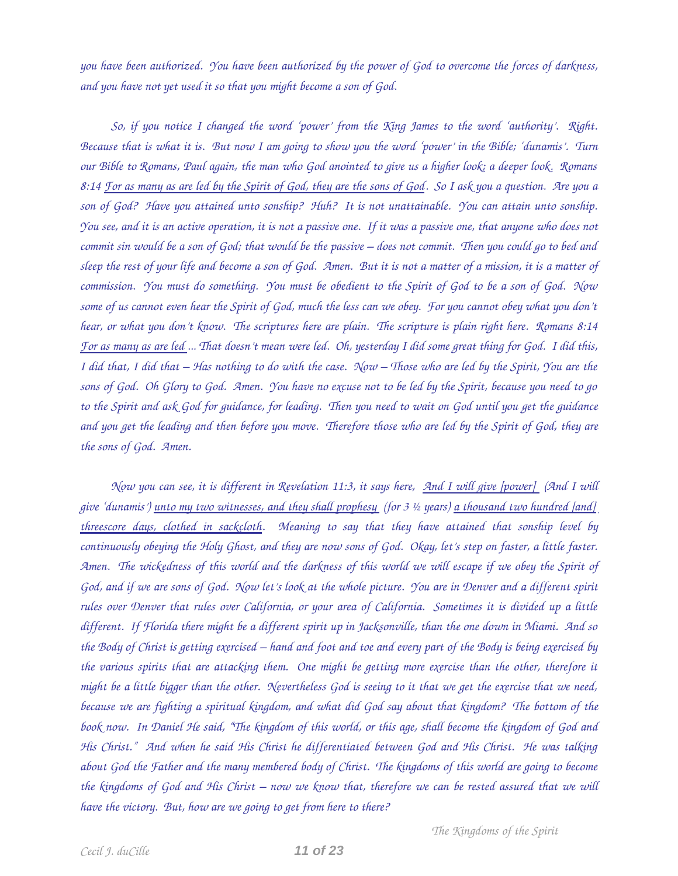*you have been authorized. You have been authorized by the power of God to overcome the forces of darkness, and you have not yet used it so that you might become a son of God.* 

*So, if you notice I changed the word 'power' from the King James to the word 'authority'. Right. Because that is what it is. But now I am going to show you the word 'power' in the Bible; 'dunamis'. Turn our Bible to Romans, Paul again, the man who God anointed to give us a higher look; a deeper look. Romans 8:14 For as many as are led by the Spirit of God, they are the sons of God. So I ask you a question. Are you a son of God? Have you attained unto sonship? Huh? It is not unattainable. You can attain unto sonship. You see, and it is an active operation, it is not a passive one. If it was a passive one, that anyone who does not commit sin would be a son of God; that would be the passive – does not commit. Then you could go to bed and sleep the rest of your life and become a son of God. Amen. But it is not a matter of a mission, it is a matter of commission. You must do something. You must be obedient to the Spirit of God to be a son of God. Now some of us cannot even hear the Spirit of God, much the less can we obey. For you cannot obey what you don't hear, or what you don't know. The scriptures here are plain. The scripture is plain right here. Romans 8:14 For as many as are led ... That doesn't mean were led. Oh, yesterday I did some great thing for God. I did this, I did that, I did that – Has nothing to do with the case. Now – Those who are led by the Spirit, You are the sons of God. Oh Glory to God. Amen. You have no excuse not to be led by the Spirit, because you need to go to the Spirit and ask God for guidance, for leading. Then you need to wait on God until you get the guidance and you get the leading and then before you move. Therefore those who are led by the Spirit of God, they are the sons of God. Amen.* 

*Now you can see, it is different in Revelation 11:3, it says here, And I will give [power] (And I will give 'dunamis') unto my two witnesses, and they shall prophesy (for 3 ½ years) a thousand two hundred [and] threescore days, clothed in sackcloth. Meaning to say that they have attained that sonship level by continuously obeying the Holy Ghost, and they are now sons of God. Okay, let's step on faster, a little faster. Amen. The wickedness of this world and the darkness of this world we will escape if we obey the Spirit of God, and if we are sons of God. Now let's look at the whole picture. You are in Denver and a different spirit rules over Denver that rules over California, or your area of California. Sometimes it is divided up a little different. If Florida there might be a different spirit up in Jacksonville, than the one down in Miami. And so the Body of Christ is getting exercised – hand and foot and toe and every part of the Body is being exercised by the various spirits that are attacking them. One might be getting more exercise than the other, therefore it might be a little bigger than the other. Nevertheless God is seeing to it that we get the exercise that we need, because we are fighting a spiritual kingdom, and what did God say about that kingdom? The bottom of the book now. In Daniel He said, "The kingdom of this world, or this age, shall become the kingdom of God and His Christ." And when he said His Christ he differentiated between God and His Christ. He was talking about God the Father and the many membered body of Christ. The kingdoms of this world are going to become the kingdoms of God and His Christ – now we know that, therefore we can be rested assured that we will have the victory. But, how are we going to get from here to there?*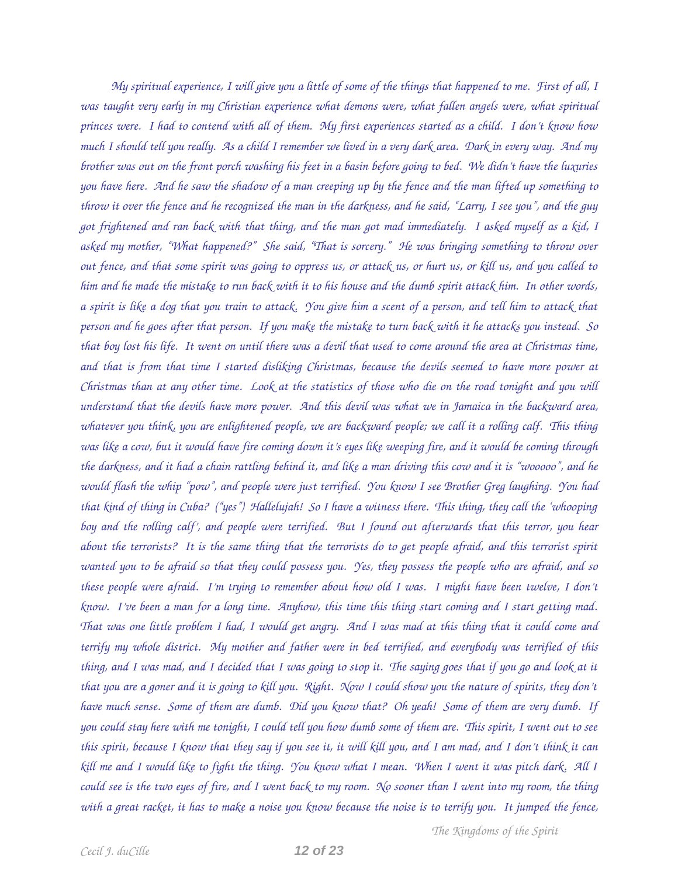*My spiritual experience, I will give you a little of some of the things that happened to me. First of all, I was taught very early in my Christian experience what demons were, what fallen angels were, what spiritual princes were. I had to contend with all of them. My first experiences started as a child. I don't know how much I should tell you really. As a child I remember we lived in a very dark area. Dark in every way. And my brother was out on the front porch washing his feet in a basin before going to bed. We didn't have the luxuries you have here. And he saw the shadow of a man creeping up by the fence and the man lifted up something to throw it over the fence and he recognized the man in the darkness, and he said, "Larry, I see you", and the guy got frightened and ran back with that thing, and the man got mad immediately. I asked myself as a kid, I asked my mother, "What happened?" She said, "That is sorcery." He was bringing something to throw over out fence, and that some spirit was going to oppress us, or attack us, or hurt us, or kill us, and you called to him and he made the mistake to run back with it to his house and the dumb spirit attack him. In other words, a spirit is like a dog that you train to attack. You give him a scent of a person, and tell him to attack that person and he goes after that person. If you make the mistake to turn back with it he attacks you instead. So that boy lost his life. It went on until there was a devil that used to come around the area at Christmas time, and that is from that time I started disliking Christmas, because the devils seemed to have more power at Christmas than at any other time. Look at the statistics of those who die on the road tonight and you will understand that the devils have more power. And this devil was what we in Jamaica in the backward area, whatever you think, you are enlightened people, we are backward people; we call it a rolling calf. This thing was like a cow, but it would have fire coming down it's eyes like weeping fire, and it would be coming through the darkness, and it had a chain rattling behind it, and like a man driving this cow and it is "wooooo", and he would flash the whip "pow", and people were just terrified. You know I see Brother Greg laughing. You had that kind of thing in Cuba? ("yes") Hallelujah! So I have a witness there. This thing, they call the 'whooping boy and the rolling calf', and people were terrified. But I found out afterwards that this terror, you hear about the terrorists? It is the same thing that the terrorists do to get people afraid, and this terrorist spirit wanted you to be afraid so that they could possess you. Yes, they possess the people who are afraid, and so these people were afraid. I'm trying to remember about how old I was. I might have been twelve, I don't know. I've been a man for a long time. Anyhow, this time this thing start coming and I start getting mad. That was one little problem I had, I would get angry. And I was mad at this thing that it could come and terrify my whole district. My mother and father were in bed terrified, and everybody was terrified of this thing, and I was mad, and I decided that I was going to stop it. The saying goes that if you go and look at it that you are a goner and it is going to kill you. Right. Now I could show you the nature of spirits, they don't have much sense. Some of them are dumb. Did you know that? Oh yeah! Some of them are very dumb. If you could stay here with me tonight, I could tell you how dumb some of them are. This spirit, I went out to see this spirit, because I know that they say if you see it, it will kill you, and I am mad, and I don't think it can kill me and I would like to fight the thing. You know what I mean. When I went it was pitch dark. All I could see is the two eyes of fire, and I went back to my room. No sooner than I went into my room, the thing with a great racket, it has to make a noise you know because the noise is to terrify you. It jumped the fence,*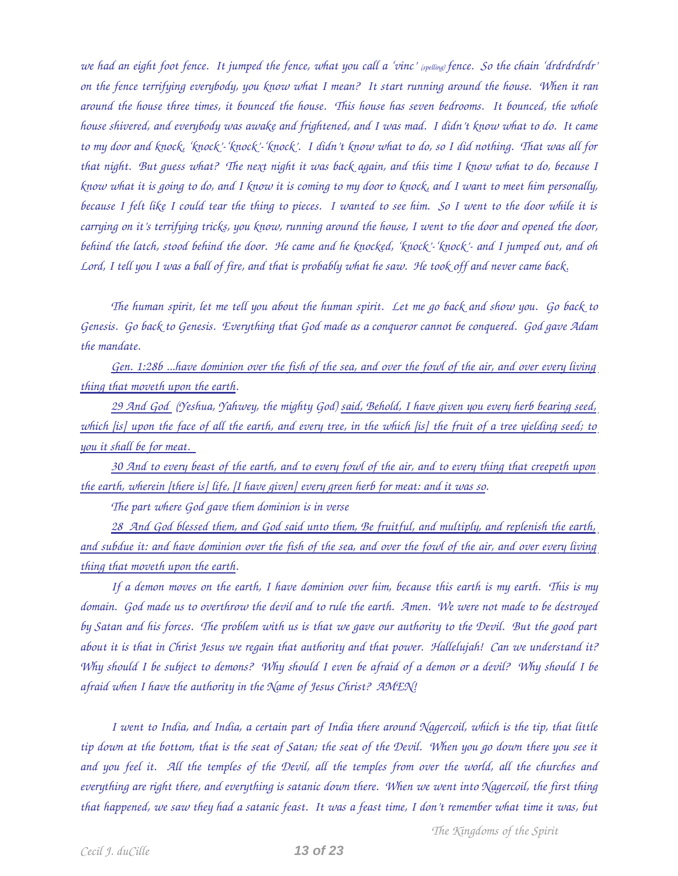*we had an eight foot fence. It jumped the fence, what you call a 'vinc' (spelling) fence. So the chain 'drdrdrdrdr' on the fence terrifying everybody, you know what I mean? It start running around the house. When it ran around the house three times, it bounced the house. This house has seven bedrooms. It bounced, the whole house shivered, and everybody was awake and frightened, and I was mad. I didn't know what to do. It came to my door and knock, 'knock''knock''knock'. I didn't know what to do, so I did nothing. That was all for that night. But guess what? The next night it was back again, and this time I know what to do, because I know what it is going to do, and I know it is coming to my door to knock, and I want to meet him personally, because I felt like I could tear the thing to pieces. I wanted to see him. So I went to the door while it is carrying on it's terrifying tricks, you know, running around the house, I went to the door and opened the door, behind the latch, stood behind the door. He came and he knocked, 'knock''knock' and I jumped out, and oh Lord, I tell you I was a ball of fire, and that is probably what he saw. He took off and never came back.* 

*The human spirit, let me tell you about the human spirit. Let me go back and show you. Go back to Genesis. Go back to Genesis. Everything that God made as a conqueror cannot be conquered. God gave Adam the mandate.* 

*Gen. 1:28b ...have dominion over the fish of the sea, and over the fowl of the air, and over every living thing that moveth upon the earth.* 

*29 And God (Yeshua, Yahwey, the mighty God) said, Behold, I have given you every herb bearing seed, which [is] upon the face of all the earth, and every tree, in the which [is] the fruit of a tree yielding seed; to you it shall be for meat.* 

*30 And to every beast of the earth, and to every fowl of the air, and to every thing that creepeth upon the earth, wherein [there is] life, [I have given] every green herb for meat: and it was so.* 

*The part where God gave them dominion is in verse* 

*28 And God blessed them, and God said unto them, Be fruitful, and multiply, and replenish the earth, and subdue it: and have dominion over the fish of the sea, and over the fowl of the air, and over every living thing that moveth upon the earth.* 

*If a demon moves on the earth, I have dominion over him, because this earth is my earth. This is my domain. God made us to overthrow the devil and to rule the earth. Amen. We were not made to be destroyed by Satan and his forces. The problem with us is that we gave our authority to the Devil. But the good part about it is that in Christ Jesus we regain that authority and that power. Hallelujah! Can we understand it? Why should I be subject to demons? Why should I even be afraid of a demon or a devil? Why should I be afraid when I have the authority in the Name of Jesus Christ? AMEN!*

*I went to India, and India, a certain part of India there around Nagercoil, which is the tip, that little tip down at the bottom, that is the seat of Satan; the seat of the Devil. When you go down there you see it and you feel it. All the temples of the Devil, all the temples from over the world, all the churches and everything are right there, and everything is satanic down there. When we went into Nagercoil, the first thing that happened, we saw they had a satanic feast. It was a feast time, I don't remember what time it was, but*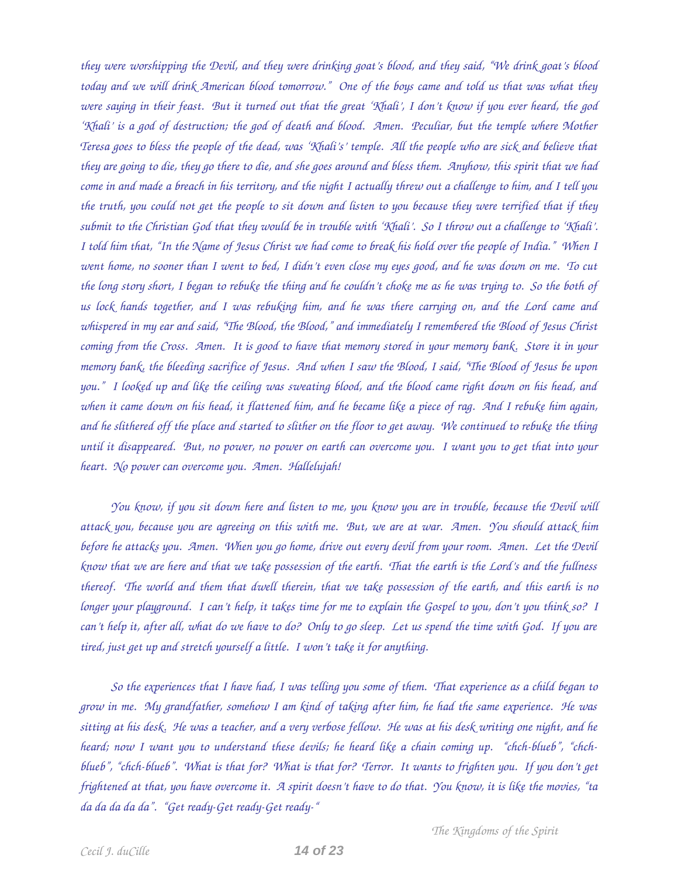*they were worshipping the Devil, and they were drinking goat's blood, and they said, "We drink goat's blood today and we will drink American blood tomorrow." One of the boys came and told us that was what they were saying in their feast. But it turned out that the great 'Khali', I don't know if you ever heard, the god 'Khali' is a god of destruction; the god of death and blood. Amen. Peculiar, but the temple where Mother Teresa goes to bless the people of the dead, was 'Khali's' temple. All the people who are sick and believe that they are going to die, they go there to die, and she goes around and bless them. Anyhow, this spirit that we had come in and made a breach in his territory, and the night I actually threw out a challenge to him, and I tell you the truth, you could not get the people to sit down and listen to you because they were terrified that if they submit to the Christian God that they would be in trouble with 'Khali'. So I throw out a challenge to 'Khali'. I told him that, "In the Name of Jesus Christ we had come to break his hold over the people of India." When I went home, no sooner than I went to bed, I didn't even close my eyes good, and he was down on me. To cut the long story short, I began to rebuke the thing and he couldn't choke me as he was trying to. So the both of us lock hands together, and I was rebuking him, and he was there carrying on, and the Lord came and whispered in my ear and said, "The Blood, the Blood," and immediately I remembered the Blood of Jesus Christ coming from the Cross. Amen. It is good to have that memory stored in your memory bank. Store it in your memory bank, the bleeding sacrifice of Jesus. And when I saw the Blood, I said, "The Blood of Jesus be upon you." I looked up and like the ceiling was sweating blood, and the blood came right down on his head, and when it came down on his head, it flattened him, and he became like a piece of rag. And I rebuke him again, and he slithered off the place and started to slither on the floor to get away. We continued to rebuke the thing until it disappeared. But, no power, no power on earth can overcome you. I want you to get that into your heart. No power can overcome you. Amen. Hallelujah!* 

*You know, if you sit down here and listen to me, you know you are in trouble, because the Devil will attack you, because you are agreeing on this with me. But, we are at war. Amen. You should attack him before he attacks you. Amen. When you go home, drive out every devil from your room. Amen. Let the Devil know that we are here and that we take possession of the earth. That the earth is the Lord's and the fullness thereof. The world and them that dwell therein, that we take possession of the earth, and this earth is no longer your playground. I can't help, it takes time for me to explain the Gospel to you, don't you think so? I can't help it, after all, what do we have to do? Only to go sleep. Let us spend the time with God. If you are tired, just get up and stretch yourself a little. I won't take it for anything.* 

*So the experiences that I have had, I was telling you some of them. That experience as a child began to grow in me. My grandfather, somehow I am kind of taking after him, he had the same experience. He was sitting at his desk. He was a teacher, and a very verbose fellow. He was at his desk writing one night, and he* heard; now I want you to understand these devils; he heard like a chain coming up. "chch-blueb", "chchblueb", "chch-blueb". What is that for? What is that for? Terror. It wants to frighten you. If you don't get *frightened at that, you have overcome it. A spirit doesn't have to do that. You know, it is like the movies, "ta* da da da da da". "Get ready-Get ready-Get ready-"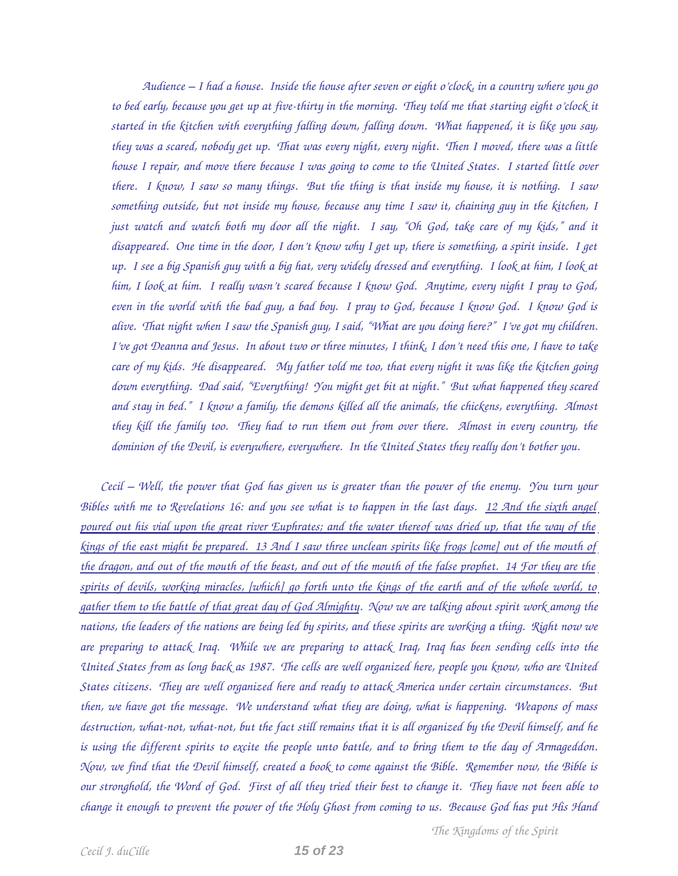*Audience – I had a house. Inside the house after seven or eight o'clock, in a country where you go* to bed early, because you get up at five-thirty in the morning. They told me that starting eight o'clock it *started in the kitchen with everything falling down, falling down. What happened, it is like you say, they was a scared, nobody get up. That was every night, every night. Then I moved, there was a little house I repair, and move there because I was going to come to the United States. I started little over there. I know, I saw so many things. But the thing is that inside my house, it is nothing. I saw something outside, but not inside my house, because any time I saw it, chaining guy in the kitchen, I just watch and watch both my door all the night. I say, "Oh God, take care of my kids," and it disappeared. One time in the door, I don't know why I get up, there is something, a spirit inside. I get up. I see a big Spanish guy with a big hat, very widely dressed and everything. I look at him, I look at him, I look at him. I really wasn't scared because I know God. Anytime, every night I pray to God, even in the world with the bad guy, a bad boy. I pray to God, because I know God. I know God is alive. That night when I saw the Spanish guy, I said, "What are you doing here?" I've got my children. I've got Deanna and Jesus. In about two or three minutes, I think, I don't need this one, I have to take care of my kids. He disappeared. My father told me too, that every night it was like the kitchen going down everything. Dad said, "Everything! You might get bit at night." But what happened they scared and stay in bed." I know a family, the demons killed all the animals, the chickens, everything. Almost they kill the family too. They had to run them out from over there. Almost in every country, the dominion of the Devil, is everywhere, everywhere. In the United States they really don't bother you.*

*Cecil – Well, the power that God has given us is greater than the power of the enemy. You turn your Bibles with me to Revelations 16: and you see what is to happen in the last days. 12 And the sixth angel poured out his vial upon the great river Euphrates; and the water thereof was dried up, that the way of the kings of the east might be prepared. 13 And I saw three unclean spirits like frogs [come] out of the mouth of the dragon, and out of the mouth of the beast, and out of the mouth of the false prophet. 14 For they are the spirits of devils, working miracles, [which] go forth unto the kings of the earth and of the whole world, to gather them to the battle of that great day of God Almighty. Now we are talking about spirit work among the nations, the leaders of the nations are being led by spirits, and these spirits are working a thing. Right now we are preparing to attack Iraq. While we are preparing to attack Iraq, Iraq has been sending cells into the United States from as long back as 1987. The cells are well organized here, people you know, who are United States citizens. They are well organized here and ready to attack America under certain circumstances. But then, we have got the message. We understand what they are doing, what is happening. Weapons of mass destruction, what-not, what-not, but the fact still remains that it is all organized by the Devil himself, and he is using the different spirits to excite the people unto battle, and to bring them to the day of Armageddon. Now, we find that the Devil himself, created a book to come against the Bible. Remember now, the Bible is our stronghold, the Word of God. First of all they tried their best to change it. They have not been able to change it enough to prevent the power of the Holy Ghost from coming to us. Because God has put His Hand*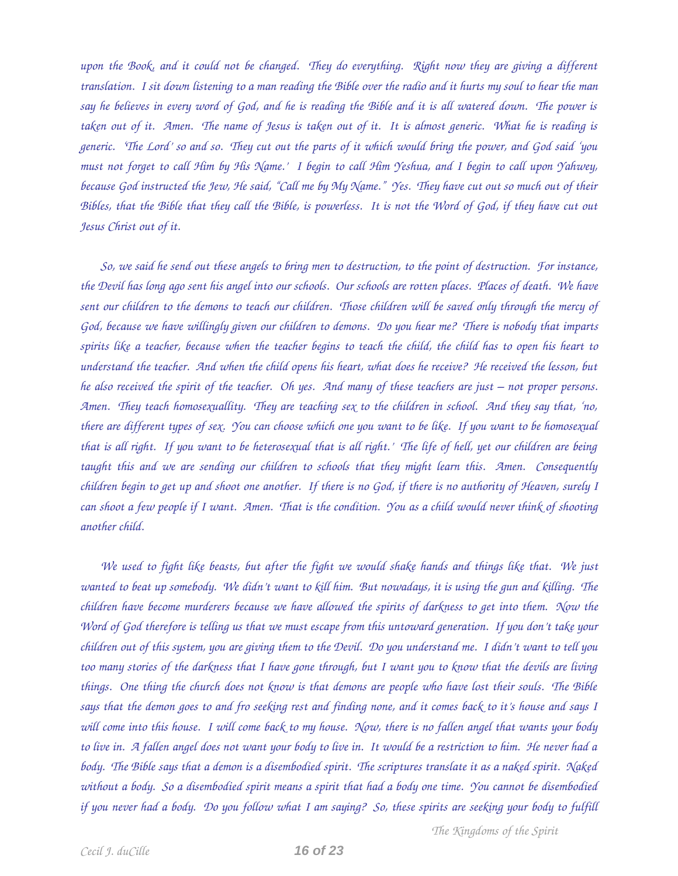*upon the Book, and it could not be changed. They do everything. Right now they are giving a different translation. I sit down listening to a man reading the Bible over the radio and it hurts my soul to hear the man say he believes in every word of God, and he is reading the Bible and it is all watered down. The power is taken out of it. Amen. The name of Jesus is taken out of it. It is almost generic. What he is reading is generic. 'The Lord' so and so. They cut out the parts of it which would bring the power, and God said 'you must not forget to call Him by His Name.' I begin to call Him Yeshua, and I begin to call upon Yahwey, because God instructed the Jew, He said, "Call me by My Name." Yes. They have cut out so much out of their Bibles, that the Bible that they call the Bible, is powerless. It is not the Word of God, if they have cut out Jesus Christ out of it.* 

*So, we said he send out these angels to bring men to destruction, to the point of destruction. For instance, the Devil has long ago sent his angel into our schools. Our schools are rotten places. Places of death. We have sent our children to the demons to teach our children. Those children will be saved only through the mercy of God, because we have willingly given our children to demons. Do you hear me? There is nobody that imparts spirits like a teacher, because when the teacher begins to teach the child, the child has to open his heart to understand the teacher. And when the child opens his heart, what does he receive? He received the lesson, but he also received the spirit of the teacher. Oh yes. And many of these teachers are just – not proper persons. Amen. They teach homosexuallity. They are teaching sex to the children in school. And they say that, 'no, there are different types of sex. You can choose which one you want to be like. If you want to be homosexual that is all right. If you want to be heterosexual that is all right.' The life of hell, yet our children are being taught this and we are sending our children to schools that they might learn this. Amen. Consequently children begin to get up and shoot one another. If there is no God, if there is no authority of Heaven, surely I can shoot a few people if I want. Amen. That is the condition. You as a child would never think of shooting another child.* 

*We used to fight like beasts, but after the fight we would shake hands and things like that. We just wanted to beat up somebody. We didn't want to kill him. But nowadays, it is using the gun and killing. The children have become murderers because we have allowed the spirits of darkness to get into them. Now the Word of God therefore is telling us that we must escape from this untoward generation. If you don't take your children out of this system, you are giving them to the Devil. Do you understand me. I didn't want to tell you too many stories of the darkness that I have gone through, but I want you to know that the devils are living things. One thing the church does not know is that demons are people who have lost their souls. The Bible says that the demon goes to and fro seeking rest and finding none, and it comes back to it's house and says I will come into this house. I will come back to my house. Now, there is no fallen angel that wants your body to live in. A fallen angel does not want your body to live in. It would be a restriction to him. He never had a body. The Bible says that a demon is a disembodied spirit. The scriptures translate it as a naked spirit. Naked without a body. So a disembodied spirit means a spirit that had a body one time. You cannot be disembodied if you never had a body. Do you follow what I am saying? So, these spirits are seeking your body to fulfill*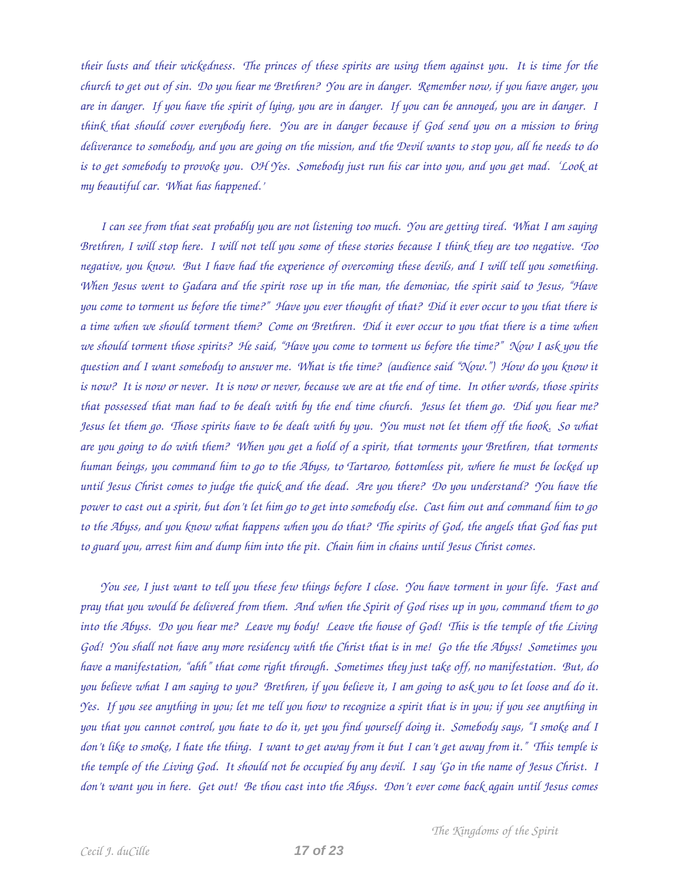*their lusts and their wickedness. The princes of these spirits are using them against you. It is time for the church to get out of sin. Do you hear me Brethren? You are in danger. Remember now, if you have anger, you are in danger. If you have the spirit of lying, you are in danger. If you can be annoyed, you are in danger. I think that should cover everybody here. You are in danger because if God send you on a mission to bring deliverance to somebody, and you are going on the mission, and the Devil wants to stop you, all he needs to do is to get somebody to provoke you. OH Yes. Somebody just run his car into you, and you get mad. 'Look at my beautiful car. What has happened.'* 

*I can see from that seat probably you are not listening too much. You are getting tired. What I am saying Brethren, I will stop here. I will not tell you some of these stories because I think they are too negative. Too negative, you know. But I have had the experience of overcoming these devils, and I will tell you something. When Jesus went to Gadara and the spirit rose up in the man, the demoniac, the spirit said to Jesus, "Have you come to torment us before the time?" Have you ever thought of that? Did it ever occur to you that there is a time when we should torment them? Come on Brethren. Did it ever occur to you that there is a time when we should torment those spirits? He said, "Have you come to torment us before the time?" Now I ask you the question and I want somebody to answer me. What is the time? (audience said "Now.") How do you know it is now? It is now or never. It is now or never, because we are at the end of time. In other words, those spirits that possessed that man had to be dealt with by the end time church. Jesus let them go. Did you hear me? Jesus let them go. Those spirits have to be dealt with by you. You must not let them off the hook. So what are you going to do with them? When you get a hold of a spirit, that torments your Brethren, that torments human beings, you command him to go to the Abyss, to Tartaroo, bottomless pit, where he must be locked up until Jesus Christ comes to judge the quick and the dead. Are you there? Do you understand? You have the power to cast out a spirit, but don't let him go to get into somebody else. Cast him out and command him to go to the Abyss, and you know what happens when you do that? The spirits of God, the angels that God has put to guard you, arrest him and dump him into the pit. Chain him in chains until Jesus Christ comes.* 

*You see, I just want to tell you these few things before I close. You have torment in your life. Fast and pray that you would be delivered from them. And when the Spirit of God rises up in you, command them to go into the Abyss. Do you hear me? Leave my body! Leave the house of God! This is the temple of the Living God! You shall not have any more residency with the Christ that is in me! Go the the Abyss! Sometimes you have a manifestation, "ahh" that come right through. Sometimes they just take off, no manifestation. But, do you believe what I am saying to you? Brethren, if you believe it, I am going to ask you to let loose and do it. Yes. If you see anything in you; let me tell you how to recognize a spirit that is in you; if you see anything in you that you cannot control, you hate to do it, yet you find yourself doing it. Somebody says, "I smoke and I don't like to smoke, I hate the thing. I want to get away from it but I can't get away from it." This temple is the temple of the Living God. It should not be occupied by any devil. I say 'Go in the name of Jesus Christ. I don't want you in here. Get out! Be thou cast into the Abyss. Don't ever come back again until Jesus comes*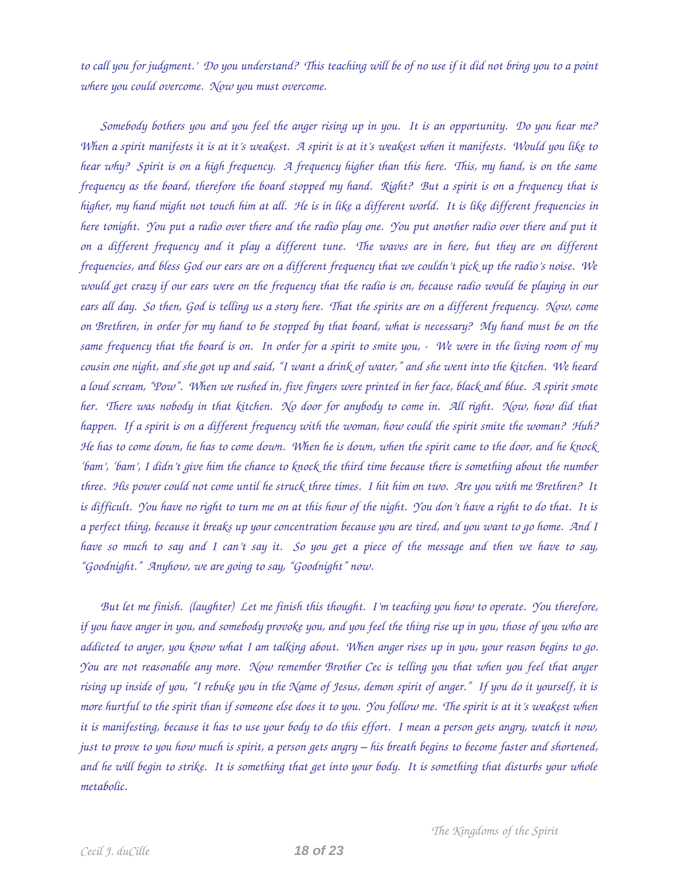*to call you for judgment.' Do you understand? This teaching will be of no use if it did not bring you to a point where you could overcome. Now you must overcome.* 

*Somebody bothers you and you feel the anger rising up in you. It is an opportunity. Do you hear me? When a spirit manifests it is at it's weakest. A spirit is at it's weakest when it manifests. Would you like to hear why? Spirit is on a high frequency. A frequency higher than this here. This, my hand, is on the same frequency as the board, therefore the board stopped my hand. Right? But a spirit is on a frequency that is higher, my hand might not touch him at all. He is in like a different world. It is like different frequencies in here tonight. You put a radio over there and the radio play one. You put another radio over there and put it on a different frequency and it play a different tune. The waves are in here, but they are on different frequencies, and bless God our ears are on a different frequency that we couldn't pick up the radio's noise. We would get crazy if our ears were on the frequency that the radio is on, because radio would be playing in our ears all day. So then, God is telling us a story here. That the spirits are on a different frequency. Now, come on Brethren, in order for my hand to be stopped by that board, what is necessary? My hand must be on the same frequency that the board is on. In order for a spirit to smite you, We were in the living room of my cousin one night, and she got up and said, "I want a drink of water," and she went into the kitchen. We heard a loud scream, "Pow". When we rushed in, five fingers were printed in her face, black and blue. A spirit smote her. There was nobody in that kitchen. No door for anybody to come in. All right. Now, how did that happen. If a spirit is on a different frequency with the woman, how could the spirit smite the woman? Huh? He has to come down, he has to come down. When he is down, when the spirit came to the door, and he knock 'bam', 'bam', I didn't give him the chance to knock the third time because there is something about the number three. His power could not come until he struck three times. I hit him on two. Are you with me Brethren? It is difficult. You have no right to turn me on at this hour of the night. You don't have a right to do that. It is a perfect thing, because it breaks up your concentration because you are tired, and you want to go home. And I have so much to say and I can't say it. So you get a piece of the message and then we have to say, "Goodnight." Anyhow, we are going to say, "Goodnight" now.* 

*But let me finish. (laughter) Let me finish this thought. I'm teaching you how to operate. You therefore, if you have anger in you, and somebody provoke you, and you feel the thing rise up in you, those of you who are addicted to anger, you know what I am talking about. When anger rises up in you, your reason begins to go. You are not reasonable any more. Now remember Brother Cec is telling you that when you feel that anger rising up inside of you, "I rebuke you in the Name of Jesus, demon spirit of anger." If you do it yourself, it is more hurtful to the spirit than if someone else does it to you. You follow me. The spirit is at it's weakest when it is manifesting, because it has to use your body to do this effort. I mean a person gets angry, watch it now, just to prove to you how much is spirit, a person gets angry – his breath begins to become faster and shortened,* and he will begin to strike. It is something that get into your body. It is something that disturbs your whole *metabolic.*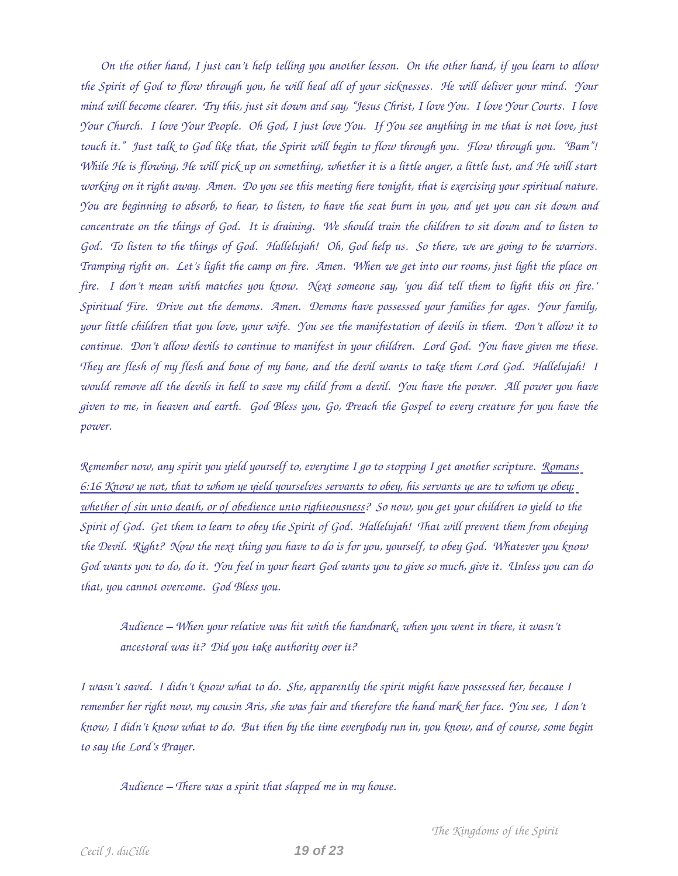*On the other hand, I just can't help telling you another lesson. On the other hand, if you learn to allow the Spirit of God to flow through you, he will heal all of your sicknesses. He will deliver your mind. Your mind will become clearer. Try this, just sit down and say, "Jesus Christ, I love You. I love Your Courts. I love Your Church. I love Your People. Oh God, I just love You. If You see anything in me that is not love, just touch it." Just talk to God like that, the Spirit will begin to flow through you. Flow through you. "Bam"! While He is flowing, He will pick up on something, whether it is a little anger, a little lust, and He will start working on it right away. Amen. Do you see this meeting here tonight, that is exercising your spiritual nature. You are beginning to absorb, to hear, to listen, to have the seat burn in you, and yet you can sit down and concentrate on the things of God. It is draining. We should train the children to sit down and to listen to God. To listen to the things of God. Hallelujah! Oh, God help us. So there, we are going to be warriors. Tramping right on. Let's light the camp on fire. Amen. When we get into our rooms, just light the place on fire. I don't mean with matches you know. Next someone say, 'you did tell them to light this on fire.' Spiritual Fire. Drive out the demons. Amen. Demons have possessed your families for ages. Your family, your little children that you love, your wife. You see the manifestation of devils in them. Don't allow it to continue. Don't allow devils to continue to manifest in your children. Lord God. You have given me these. They are flesh of my flesh and bone of my bone, and the devil wants to take them Lord God. Hallelujah! I would remove all the devils in hell to save my child from a devil. You have the power. All power you have given to me, in heaven and earth. God Bless you, Go, Preach the Gospel to every creature for you have the power.* 

*Remember now, any spirit you yield yourself to, everytime I go to stopping I get another scripture. Romans 6:16 Know ye not, that to whom ye yield yourselves servants to obey, his servants ye are to whom ye obey; whether of sin unto death, or of obedience unto righteousness? So now, you get your children to yield to the Spirit of God. Get them to learn to obey the Spirit of God. Hallelujah! That will prevent them from obeying the Devil. Right? Now the next thing you have to do is for you, yourself, to obey God. Whatever you know God wants you to do, do it. You feel in your heart God wants you to give so much, give it. Unless you can do that, you cannot overcome. God Bless you.* 

*Audience – When your relative was hit with the handmark, when you went in there, it wasn't ancestoral was it? Did you take authority over it?* 

*I wasn't saved. I didn't know what to do. She, apparently the spirit might have possessed her, because I remember her right now, my cousin Aris, she was fair and therefore the hand mark her face. You see, I don't know, I didn't know what to do. But then by the time everybody run in, you know, and of course, some begin to say the Lord's Prayer.* 

*Audience – There was a spirit that slapped me in my house.*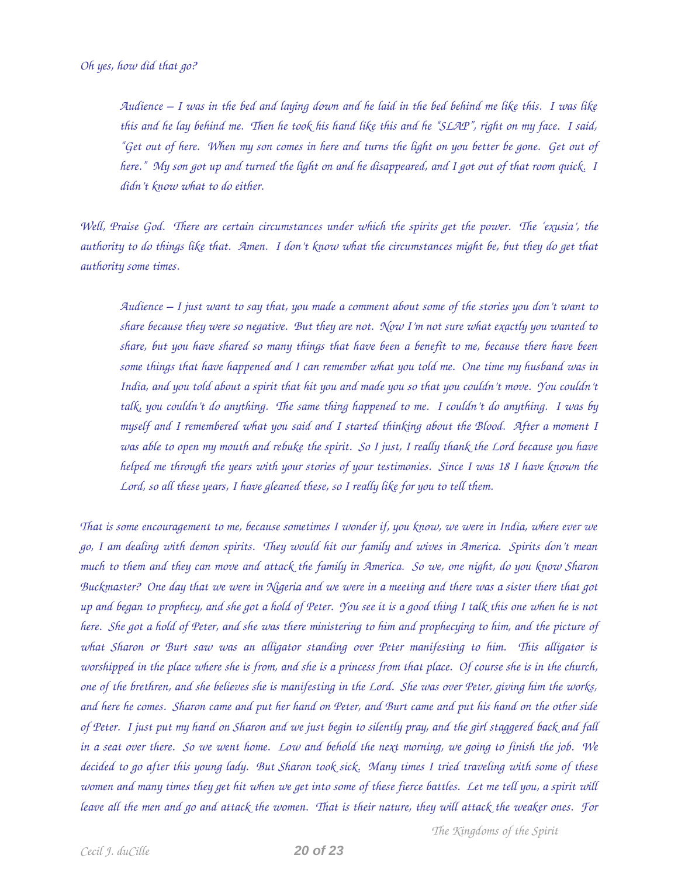*Audience – I was in the bed and laying down and he laid in the bed behind me like this. I was like this and he lay behind me. Then he took his hand like this and he "SLAP", right on my face. I said, "Get out of here. When my son comes in here and turns the light on you better be gone. Get out of here." My son got up and turned the light on and he disappeared, and I got out of that room quick. I didn't know what to do either.* 

*Well, Praise God. There are certain circumstances under which the spirits get the power. The 'exusia', the authority to do things like that. Amen. I don't know what the circumstances might be, but they do get that authority some times.* 

*Audience – I just want to say that, you made a comment about some of the stories you don't want to share because they were so negative. But they are not. Now I'm not sure what exactly you wanted to share, but you have shared so many things that have been a benefit to me, because there have been some things that have happened and I can remember what you told me. One time my husband was in India, and you told about a spirit that hit you and made you so that you couldn't move. You couldn't talk, you couldn't do anything. The same thing happened to me. I couldn't do anything. I was by myself and I remembered what you said and I started thinking about the Blood. After a moment I was able to open my mouth and rebuke the spirit. So I just, I really thank the Lord because you have helped me through the years with your stories of your testimonies. Since I was 18 I have known the Lord, so all these years, I have gleaned these, so I really like for you to tell them.* 

*That is some encouragement to me, because sometimes I wonder if, you know, we were in India, where ever we go, I am dealing with demon spirits. They would hit our family and wives in America. Spirits don't mean much to them and they can move and attack the family in America. So we, one night, do you know Sharon Buckmaster? One day that we were in Nigeria and we were in a meeting and there was a sister there that got up and began to prophecy, and she got a hold of Peter. You see it is a good thing I talk this one when he is not here. She got a hold of Peter, and she was there ministering to him and prophecying to him, and the picture of what Sharon or Burt saw was an alligator standing over Peter manifesting to him. This alligator is worshipped in the place where she is from, and she is a princess from that place. Of course she is in the church, one of the brethren, and she believes she is manifesting in the Lord. She was over Peter, giving him the works, and here he comes. Sharon came and put her hand on Peter, and Burt came and put his hand on the other side of Peter. I just put my hand on Sharon and we just begin to silently pray, and the girl staggered back and fall in a seat over there. So we went home. Low and behold the next morning, we going to finish the job. We decided to go after this young lady. But Sharon took sick. Many times I tried traveling with some of these women and many times they get hit when we get into some of these fierce battles. Let me tell you, a spirit will leave all the men and go and attack the women. That is their nature, they will attack the weaker ones. For*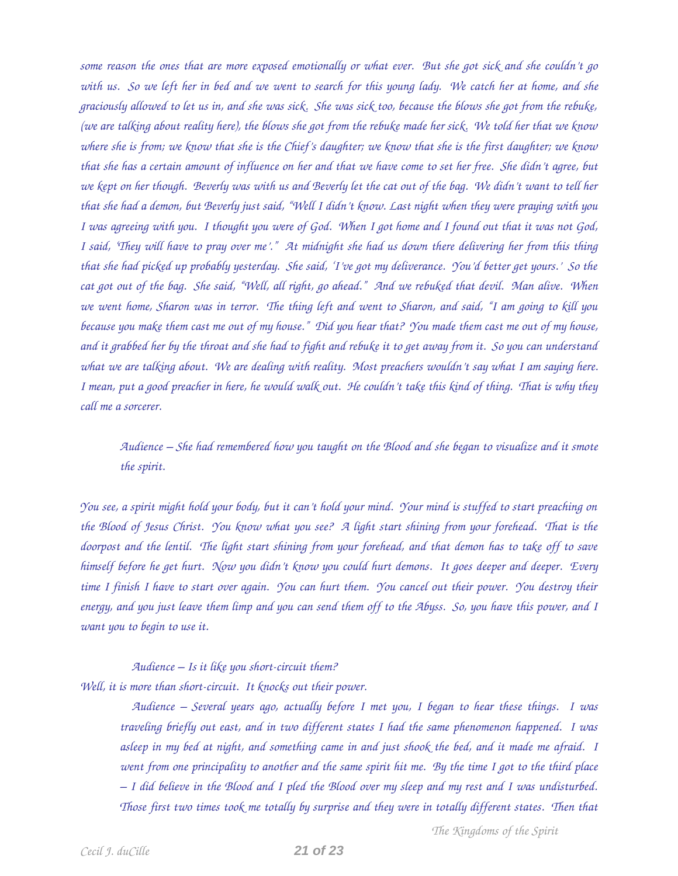*some reason the ones that are more exposed emotionally or what ever. But she got sick and she couldn't go with us. So we left her in bed and we went to search for this young lady. We catch her at home, and she graciously allowed to let us in, and she was sick. She was sick too, because the blows she got from the rebuke, (we are talking about reality here), the blows she got from the rebuke made her sick. We told her that we know where she is from; we know that she is the Chief's daughter; we know that she is the first daughter; we know that she has a certain amount of influence on her and that we have come to set her free. She didn't agree, but we kept on her though. Beverly was with us and Beverly let the cat out of the bag. We didn't want to tell her that she had a demon, but Beverly just said, "Well I didn't know. Last night when they were praying with you I was agreeing with you. I thought you were of God. When I got home and I found out that it was not God, I said, 'They will have to pray over me'." At midnight she had us down there delivering her from this thing that she had picked up probably yesterday. She said, 'I've got my deliverance. You'd better get yours.' So the cat got out of the bag. She said, "Well, all right, go ahead." And we rebuked that devil. Man alive. When we went home, Sharon was in terror. The thing left and went to Sharon, and said, "I am going to kill you because you make them cast me out of my house." Did you hear that? You made them cast me out of my house, and it grabbed her by the throat and she had to fight and rebuke it to get away from it. So you can understand what we are talking about. We are dealing with reality. Most preachers wouldn't say what I am saying here. I mean, put a good preacher in here, he would walk out. He couldn't take this kind of thing. That is why they call me a sorcerer.* 

*Audience – She had remembered how you taught on the Blood and she began to visualize and it smote the spirit.* 

*You see, a spirit might hold your body, but it can't hold your mind. Your mind is stuffed to start preaching on the Blood of Jesus Christ. You know what you see? A light start shining from your forehead. That is the doorpost and the lentil. The light start shining from your forehead, and that demon has to take off to save himself before he get hurt. Now you didn't know you could hurt demons. It goes deeper and deeper. Every time I finish I have to start over again. You can hurt them. You cancel out their power. You destroy their energy, and you just leave them limp and you can send them off to the Abyss. So, you have this power, and I want you to begin to use it.* 

*Audience – Is it like you short-circuit them?* Well, it is more than short-circuit. It knocks out their power.

> *Audience – Several years ago, actually before I met you, I began to hear these things. I was traveling briefly out east, and in two different states I had the same phenomenon happened. I was asleep in my bed at night, and something came in and just shook the bed, and it made me afraid. I went from one principality to another and the same spirit hit me. By the time I got to the third place – I did believe in the Blood and I pled the Blood over my sleep and my rest and I was undisturbed. Those first two times took me totally by surprise and they were in totally different states. Then that*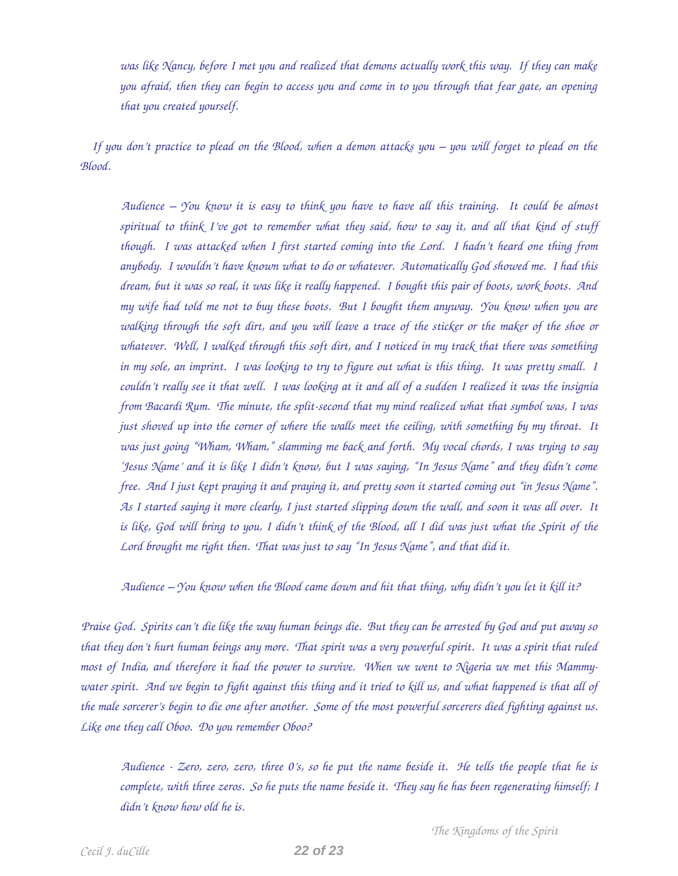*was like Nancy, before I met you and realized that demons actually work this way. If they can make you afraid, then they can begin to access you and come in to you through that fear gate, an opening that you created yourself.* 

*If you don't practice to plead on the Blood, when a demon attacks you – you will forget to plead on the Blood.* 

*Audience – You know it is easy to think you have to have all this training. It could be almost spiritual to think I've got to remember what they said, how to say it, and all that kind of stuff though. I was attacked when I first started coming into the Lord. I hadn't heard one thing from anybody. I wouldn't have known what to do or whatever. Automatically God showed me. I had this dream, but it was so real, it was like it really happened. I bought this pair of boots, work boots. And my wife had told me not to buy these boots. But I bought them anyway. You know when you are walking through the soft dirt, and you will leave a trace of the sticker or the maker of the shoe or whatever. Well, I walked through this soft dirt, and I noticed in my track that there was something in my sole, an imprint. I was looking to try to figure out what is this thing. It was pretty small. I couldn't really see it that well. I was looking at it and all of a sudden I realized it was the insignia from Bacardi Rum. The minute, the split-second that my mind realized what that symbol was, I was just shoved up into the corner of where the walls meet the ceiling, with something by my throat. It was just going "Wham, Wham," slamming me back and forth. My vocal chords, I was trying to say 'Jesus Name' and it is like I didn't know, but I was saying, "In Jesus Name" and they didn't come free. And I just kept praying it and praying it, and pretty soon it started coming out "in Jesus Name". As I started saying it more clearly, I just started slipping down the wall, and soon it was all over. It is like, God will bring to you, I didn't think of the Blood, all I did was just what the Spirit of the Lord brought me right then. That was just to say "In Jesus Name", and that did it.* 

*Audience – You know when the Blood came down and hit that thing, why didn't you let it kill it?* 

*Praise God. Spirits can't die like the way human beings die. But they can be arrested by God and put away so that they don't hurt human beings any more. That spirit was a very powerful spirit. It was a spirit that ruled most of India, and therefore it had the power to survive. When we went to Nigeria we met this Mammywater spirit. And we begin to fight against this thing and it tried to kill us, and what happened is that all of the male sorcerer's begin to die one after another. Some of the most powerful sorcerers died fighting against us. Like one they call Oboo. Do you remember Oboo?* 

*Audience Zero, zero, zero, three 0's, so he put the name beside it. He tells the people that he is complete, with three zeros. So he puts the name beside it. They say he has been regenerating himself; I didn't know how old he is.*